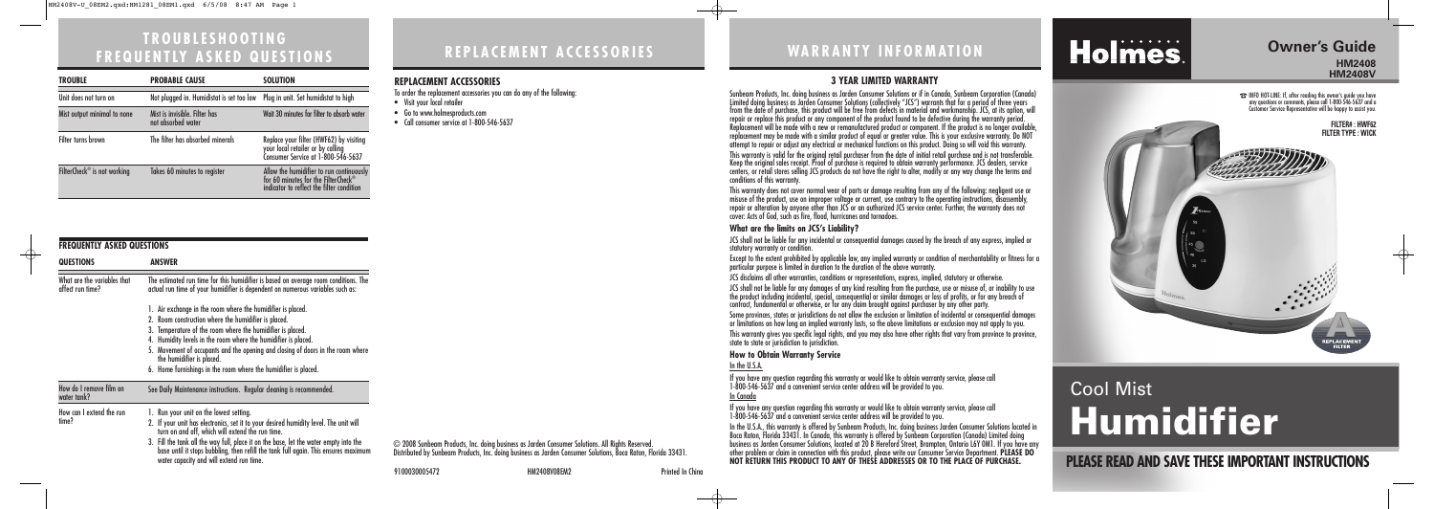**REPLACEMENT ACCESSORIES**

# **TROUBLESHOOTING FREQUENTLY ASKED QUESTIONS**

| <b>FREQUENTLY ASKED QUESTIONS</b>               |                                                                                                                                                                                                                                                                                                                                                                                                                                        |  |
|-------------------------------------------------|----------------------------------------------------------------------------------------------------------------------------------------------------------------------------------------------------------------------------------------------------------------------------------------------------------------------------------------------------------------------------------------------------------------------------------------|--|
| <b>QUESTIONS</b>                                | <b>ANSWER</b>                                                                                                                                                                                                                                                                                                                                                                                                                          |  |
| What are the variables that<br>affect run time? | The estimated run time for this humidifier is based on average room conditions. The<br>actual run time of your humidifier is dependent on numerous variables such as:                                                                                                                                                                                                                                                                  |  |
|                                                 | 1. Air exchange in the room where the humidifier is placed.<br>2. Room construction where the humidifier is placed.<br>3. Temperature of the room where the humidifier is placed.<br>4. Humidity levels in the room where the humidifier is placed.<br>5. Movement of occupants and the opening and closing of doors in the room where<br>the humidifier is placed.<br>6. Home furnishings in the room where the humidifier is placed. |  |
| How do I remove film on<br>water tank?          | See Daily Maintenance instructions. Regular cleaning is recommended.                                                                                                                                                                                                                                                                                                                                                                   |  |
| How can I extend the run<br>time?               | 1. Run your unit on the lowest setting.<br>2. If your unit has electronics, set it to your desired humidity level. The unit will<br>turn on and off, which will extend the run time.<br>3. Fill the tank all the way full, place it on the base, let the water empty into the<br>base until it stops bubbling, then refill the tank full again. This ensures maximum<br>water capacity and will extend run time.                       |  |

© 2008 Sunbeam Products, Inc. doing business as Jarden Consumer Solutions. All Rights Reserved. Distributed by Sunbeam Products, Inc. doing business as Jarden Consumer Solutions, Boca Raton, Florida 33431.

# **WARRANTY INFORMATION**

**PLEASE READ AND SAVE THESE IMPORTANT INSTRUCTIONS**

## **Owner's Guide HM2408**

**HM2408V**

☎INFO HOT-LINE: If, after reading this owner's guide you have any questions or comments, please call 1-800-546-5637 and a Customer Service Representative will be happy to assist you.

# Cool Mist **Humidifier**



### **3 YEAR LIMITED WARRANTY**

Sunbeam Products, Inc. doing business as Jarden Consumer Solutions or if in Canada, Sunbeam Corporation (Canada) Limited doing business as Jarden Consumer Solutions (collectively "JCS") warrants that for a period of three years from the date of purchase, this product will be free from defects in material and workmanship. JCS, at its option, will repair or replace this product or any component of the product found to be defective during the warranty period. Replacement will be made with a new or remanufactured product or component. If the product is no longer available, replacement may be made with a similar product of equal or greater value. This is your exclusive warranty. Do NOT attempt to repair or adjust any electrical or mechanical functions on this product. Doing so will void this warranty. This warranty is valid for the original retail purchaser from the date of initial retail purchase and is not transferable. Keep the original sales receipt. Proof of purchase is required to obtain warranty performance. JCS dealers, service centers, or retail stores selling JCS products do not have the right to alter, modify or any way change the terms and conditions of this warranty.

- To order the replacement accessories you can do any of the following:
- Visit your local retailer
- Go to www.holmesproducts.com
- Call consumer service at 1-800-546-5637

This warranty does not cover normal wear of parts or damage resulting from any of the following: negligent use or misuse of the product, use on improper voltage or current, use contrary to the operating instructions, disassembly, repair or alteration by anyone other than JCS or an authorized JCS service center. Further, the warranty does not cover: Acts of God, such as fire, flood, hurricanes and tornadoes.

#### **What are the limits on JCS's Liability?**

JCS shall not be liable for any incidental or consequential damages caused by the breach of any express, implied or statutory warranty or condition.

Except to the extent prohibited by applicable law, any implied warranty or condition of merchantability or fitness for a particular purpose is limited in duration to the duration of the above warranty.

JCS disclaims all other warranties, conditions or representations, express, implied, statutory or otherwise.

JCS shall not be liable for any damages of any kind resulting from the purchase, use or misuse of, or inability to use the product including incidental, special, consequential or similar damages or loss of profits, or for any breach of contract, fundamental or otherwise, or for any claim brought against purchaser by any other party.

Some provinces, states or jurisdictions do not allow the exclusion or limitation of incidental or consequential damages or limitations on how long an implied warranty lasts, so the above limitations or exclusion may not apply to you. This warranty gives you specific legal rights, and you may also have other rights that vary from province to province, state to state or jurisdiction to jurisdiction.

#### **How to Obtain Warranty Service**

## In the U.S.A.

If you have any question regarding this warranty or would like to obtain warranty service, please call 1-800-546-5637 and a convenient service center address will be provided to you.

In Canada

If you have any question regarding this warranty or would like to obtain warranty service, please call 1-800-546-5637 and a convenient service center address will be provided to you.

In the U.S.A., this warranty is offered by Sunbeam Products, Inc. doing business Jarden Consumer Solutions located in Boca Raton, Florida 33431. In Canada, this warranty is offered by Sunbeam Corporation (Canada) Limited doing business as Jarden Consumer Solutions, located at 20 B Hereford Street, Brampton, Ontario L6Y 0M1. If you have any other problem or claim in connection with this product, please write our Consumer Service Department. **PLEASE DO NOT RETURN THIS PRODUCT TO ANY OF THESE ADDRESSES OR TO THE PLACE OF PURCHASE.** 

# Holmes.

9100030005472 HM2408V08EM2 Printed In China

| <b>TROUBLE</b>                          | <b>PROBABLE CAUSE</b>                               | <b>SOLUTION</b>                                                                                                              |
|-----------------------------------------|-----------------------------------------------------|------------------------------------------------------------------------------------------------------------------------------|
| Unit does not turn on                   | Not plugged in. Humidistat is set too low           | Plug in unit. Set humidistat to high                                                                                         |
| Mist output minimal to none             | Mist is invisible. Filter has<br>not absorbed water | Wait 30 minutes for filter to absorb water                                                                                   |
| Filter turns brown                      | The filter has absorbed minerals                    | Replace your filter (HWF62) by visiting<br>your local retailer or by calling<br>Consumer Service at 1-800-546-5637           |
| FilterCheck <sup>®</sup> is not working | Takes 60 minutes to register                        | Allow the humidifier to run continuously<br>for 60 minutes for the FilterCheck®<br>indicator to reflect the filter condition |

#### **REPLACEMENT ACCESSORIES**